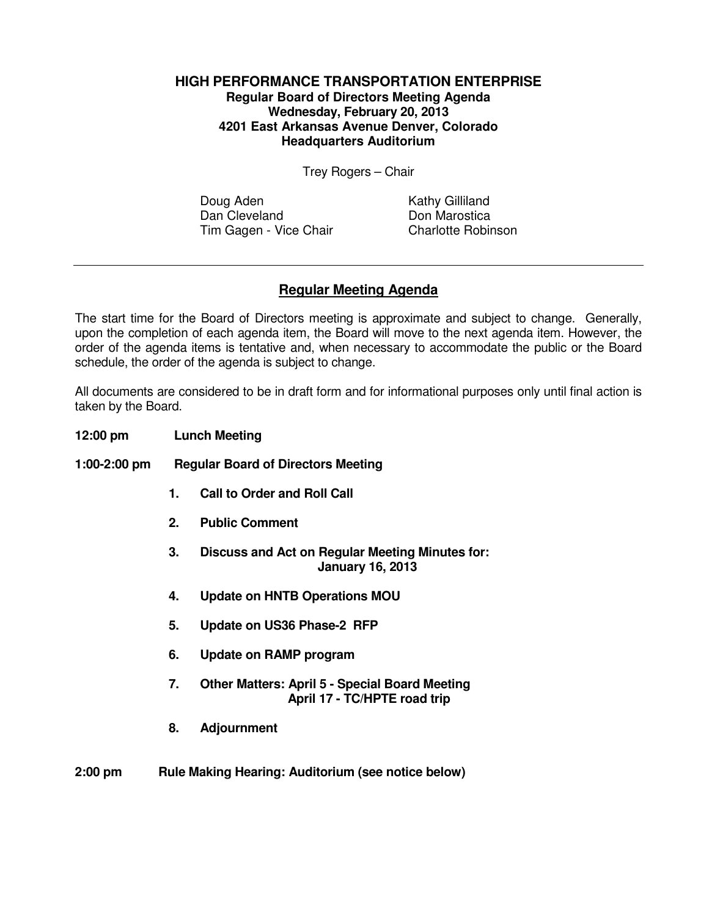## **HIGH PERFORMANCE TRANSPORTATION ENTERPRISE Regular Board of Directors Meeting Agenda Wednesday, February 20, 2013 4201 East Arkansas Avenue Denver, Colorado Headquarters Auditorium**

Trey Rogers – Chair

Doug Aden Kathy Gilliland Dan Cleveland Don Marostica Tim Gagen - Vice Chair Charlotte Robinson

## **Regular Meeting Agenda**

The start time for the Board of Directors meeting is approximate and subject to change. Generally, upon the completion of each agenda item, the Board will move to the next agenda item. However, the order of the agenda items is tentative and, when necessary to accommodate the public or the Board schedule, the order of the agenda is subject to change.

All documents are considered to be in draft form and for informational purposes only until final action is taken by the Board.

- **12:00 pm Lunch Meeting**
- **1:00-2:00 pm Regular Board of Directors Meeting** 
	- **1. Call to Order and Roll Call**
	- **2. Public Comment**
	- **3. Discuss and Act on Regular Meeting Minutes for: January 16, 2013**
	- **4. Update on HNTB Operations MOU**
	- **5. Update on US36 Phase-2 RFP**
	- **6. Update on RAMP program**
	- **7. Other Matters: April 5 Special Board Meeting April 17 - TC/HPTE road trip**
	- **8. Adjournment**
- **2:00 pm Rule Making Hearing: Auditorium (see notice below)**